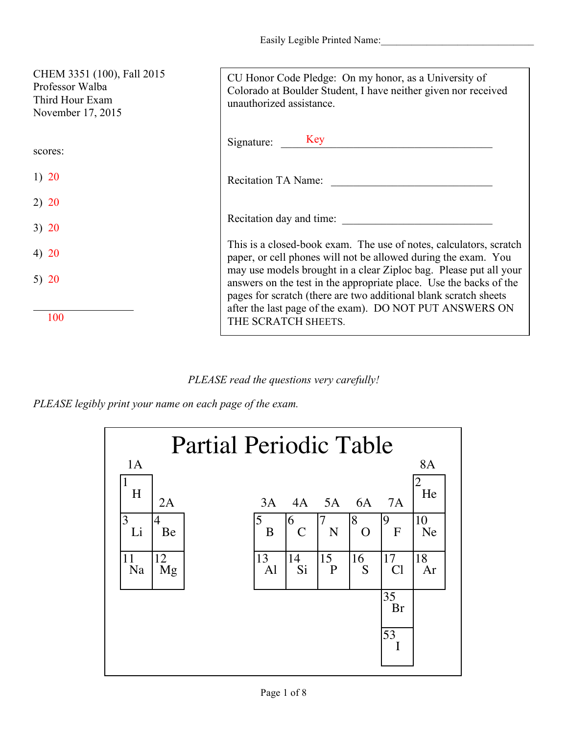| CHEM 3351 (100), Fall 2015<br>Professor Walba<br>Third Hour Exam<br>November 17, 2015 | CU Honor Code Pledge: On my honor, as a University of<br>Colorado at Boulder Student, I have neither given nor received<br>unauthorized assistance.                                                                                                                                                                                                                                                                                   |
|---------------------------------------------------------------------------------------|---------------------------------------------------------------------------------------------------------------------------------------------------------------------------------------------------------------------------------------------------------------------------------------------------------------------------------------------------------------------------------------------------------------------------------------|
| scores:                                                                               | Signature: Key                                                                                                                                                                                                                                                                                                                                                                                                                        |
| 1) $20$                                                                               | <b>Recitation TA Name:</b>                                                                                                                                                                                                                                                                                                                                                                                                            |
| 2) 20                                                                                 |                                                                                                                                                                                                                                                                                                                                                                                                                                       |
| 3) 20                                                                                 | Recitation day and time:                                                                                                                                                                                                                                                                                                                                                                                                              |
| 4) $20$                                                                               | This is a closed-book exam. The use of notes, calculators, scratch<br>paper, or cell phones will not be allowed during the exam. You<br>may use models brought in a clear Ziploc bag. Please put all your<br>answers on the test in the appropriate place. Use the backs of the<br>pages for scratch (there are two additional blank scratch sheets<br>after the last page of the exam). DO NOT PUT ANSWERS ON<br>THE SCRATCH SHEETS. |
| 5) $20$                                                                               |                                                                                                                                                                                                                                                                                                                                                                                                                                       |
| 100                                                                                   |                                                                                                                                                                                                                                                                                                                                                                                                                                       |

*PLEASE read the questions very carefully!*

*PLEASE legibly print your name on each page of the exam.*

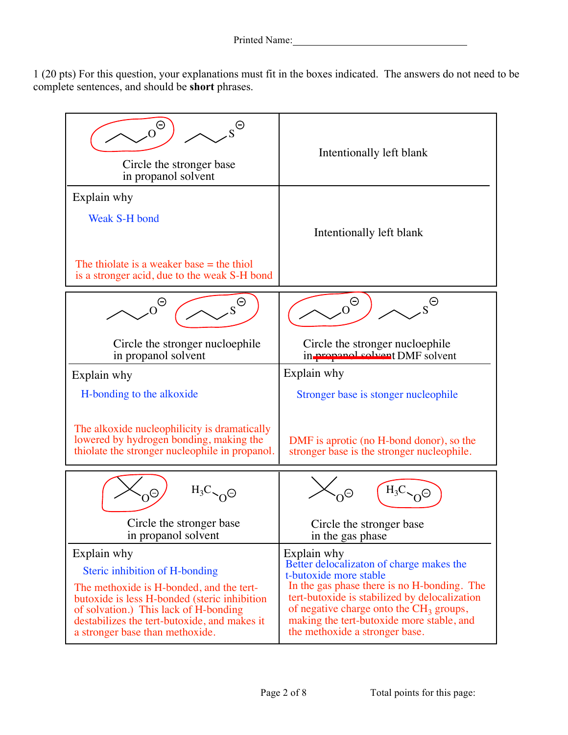1 (20 pts) For this question, your explanations must fit in the boxes indicated. The answers do not need to be complete sentences, and should be **short** phrases.

| $\Theta$<br>Circle the stronger base<br>in propanol solvent                                                                 | Intentionally left blank                      |
|-----------------------------------------------------------------------------------------------------------------------------|-----------------------------------------------|
| Explain why<br>Weak S-H bond<br>The thiolate is a weaker base $=$ the thiol<br>is a stronger acid, due to the weak S-H bond | Intentionally left blank                      |
| Θ                                                                                                                           | $\Theta$                                      |
| Circle the stronger nucloephile                                                                                             | ⊖                                             |
| in propanol solvent                                                                                                         | Circle the stronger nucloephile               |
| Explain why                                                                                                                 | in-propanol-solvent DMF solvent               |
| H-bonding to the alkoxide                                                                                                   | Explain why                                   |
| The alkoxide nucleophilicity is dramatically                                                                                | Stronger base is stonger nucleophile          |
| lowered by hydrogen bonding, making the                                                                                     | DMF is aprotic (no H-bond donor), so the      |
| thiolate the stronger nucleophile in propanol.                                                                              | stronger base is the stronger nucleophile.    |
| $H_3C_{\gamma}$ $\Theta$                                                                                                    | $H_3C$                                        |
| Θ                                                                                                                           | Circle the stronger base                      |
| Circle the stronger base                                                                                                    | in the gas phase                              |
| in propanol solvent                                                                                                         | Explain why                                   |
| Explain why                                                                                                                 | Better delocalizaton of charge makes the      |
| Steric inhibition of H-bonding                                                                                              | t-butoxide more stable                        |
| The methoxide is H-bonded, and the tert-                                                                                    | In the gas phase there is no H-bonding. The   |
| butoxide is less H-bonded (steric inhibition                                                                                | tert-butoxide is stabilized by delocalization |
| of solvation.) This lack of H-bonding                                                                                       | of negative charge onto the $CH3$ groups,     |
| destabilizes the tert-butoxide, and makes it                                                                                | making the tert-butoxide more stable, and     |
| a stronger base than methoxide.                                                                                             | the methoxide a stronger base.                |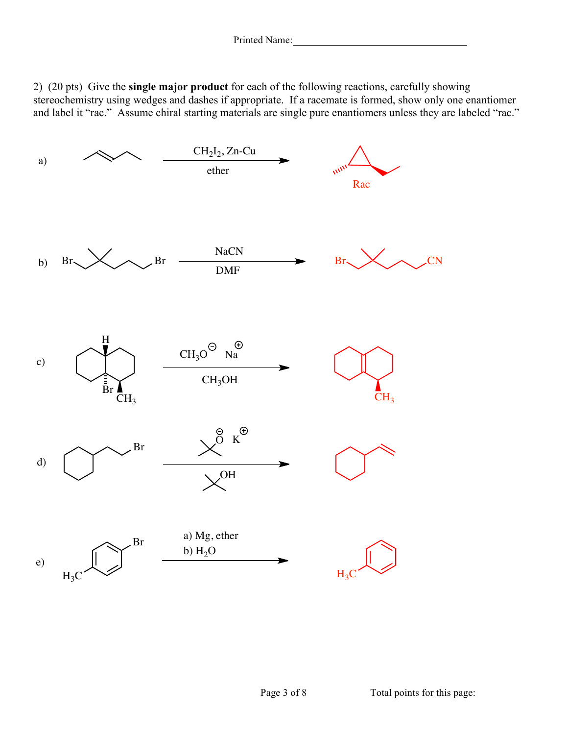2) (20 pts) Give the **single major product** for each of the following reactions, carefully showing stereochemistry using wedges and dashes if appropriate. If a racemate is formed, show only one enantiomer and label it "rac." Assume chiral starting materials are single pure enantiomers unless they are labeled "rac."

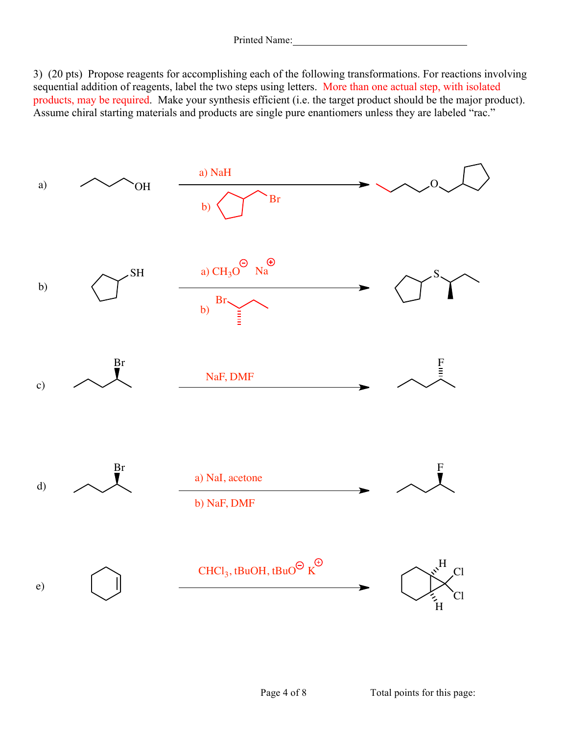3) (20 pts) Propose reagents for accomplishing each of the following transformations. For reactions involving sequential addition of reagents, label the two steps using letters. More than one actual step, with isolated products, may be required. Make your synthesis efficient (i.e. the target product should be the major product). Assume chiral starting materials and products are single pure enantiomers unless they are labeled "rac."

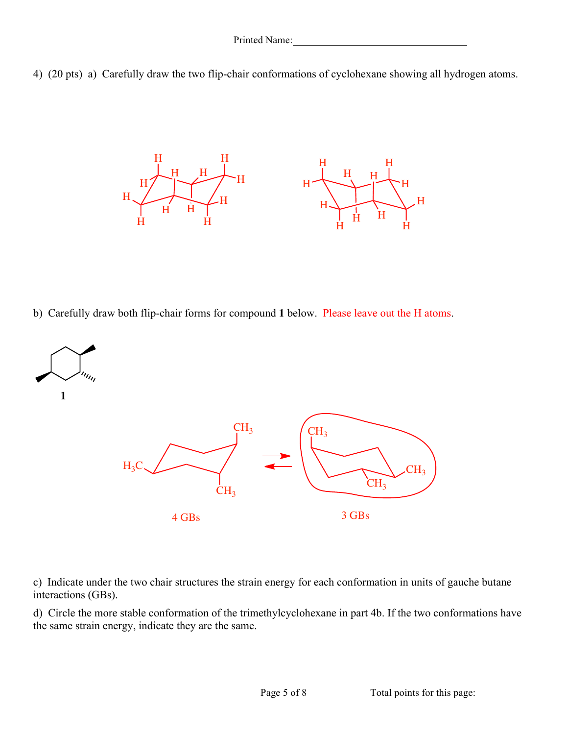



b) Carefully draw both flip-chair forms for compound **1** below. Please leave out the H atoms.



c) Indicate under the two chair structures the strain energy for each conformation in units of gauche butane interactions (GBs).

d) Circle the more stable conformation of the trimethylcyclohexane in part 4b. If the two conformations have the same strain energy, indicate they are the same.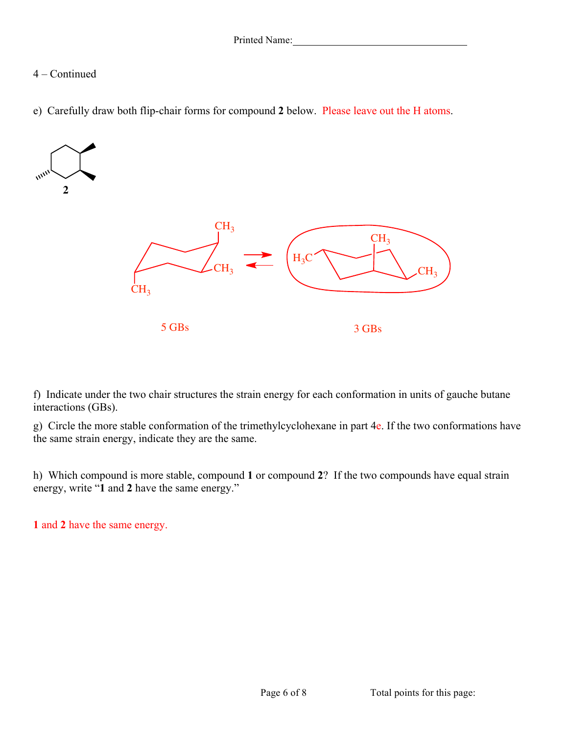## 4 – Continued

e) Carefully draw both flip-chair forms for compound **2** below. Please leave out the H atoms.



f) Indicate under the two chair structures the strain energy for each conformation in units of gauche butane interactions (GBs).

g) Circle the more stable conformation of the trimethylcyclohexane in part 4e. If the two conformations have the same strain energy, indicate they are the same.

h) Which compound is more stable, compound **1** or compound **2**? If the two compounds have equal strain energy, write "**1** and **2** have the same energy."

**1** and **2** have the same energy.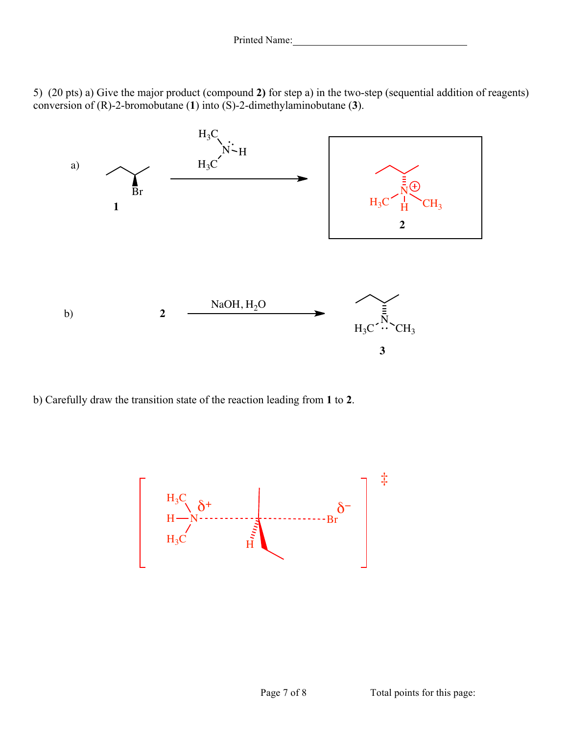5) (20 pts) a) Give the major product (compound **2)** for step a) in the two-step (sequential addition of reagents) conversion of (R)-2-bromobutane (**1**) into (S)-2-dimethylaminobutane (**3**).



b) Carefully draw the transition state of the reaction leading from **1** to **2**.